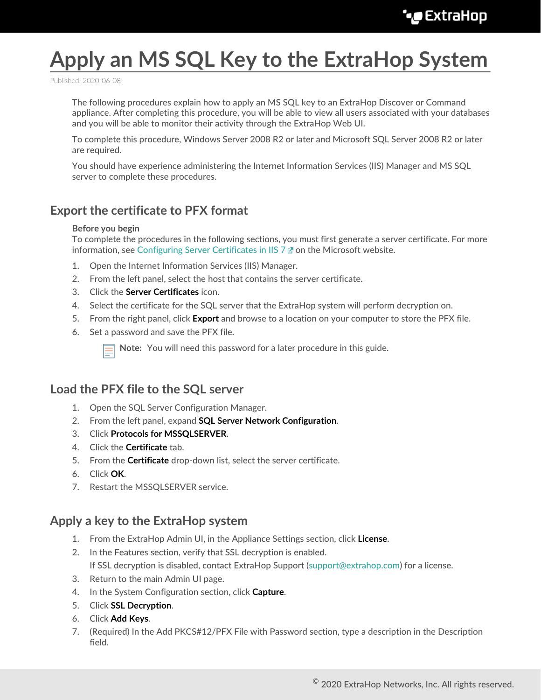# **Apply an MS SQL Key to the ExtraHop System**

Published: 2020-06-08

The following procedures explain how to apply an MS SQL key to an ExtraHop Discover or Command appliance. After completing this procedure, you will be able to view all users associated with your databases and you will be able to monitor their activity through the ExtraHop Web UI.

To complete this procedure, Windows Server 2008 R2 or later and Microsoft SQL Server 2008 R2 or later are required.

You should have experience administering the Internet Information Services (IIS) Manager and MS SQL server to complete these procedures.

# **Export the certificate to PFX format**

#### **Before you begin**

To complete the procedures in the following sections, you must first generate a server certificate. For more information, see [Configuring Server Certificates in IIS 7](https://technet.microsoft.com/en-us/library/cc732230(v=ws.10).aspx)  $\alpha$  on the Microsoft website.

- 1. Open the Internet Information Services (IIS) Manager.
- 2. From the left panel, select the host that contains the server certificate.
- 3. Click the **Server Certificates** icon.
- 4. Select the certificate for the SQL server that the ExtraHop system will perform decryption on.
- 5. From the right panel, click **Export** and browse to a location on your computer to store the PFX file.
- 6. Set a password and save the PFX file.

**Note:** You will need this password for a later procedure in this guide.

# **Load the PFX file to the SQL server**

- 1. Open the SQL Server Configuration Manager.
- 2. From the left panel, expand **SQL Server Network Configuration**.
- 3. Click **Protocols for MSSQLSERVER**.
- 4. Click the **Certificate** tab.
- 5. From the **Certificate** drop-down list, select the server certificate.
- 6. Click **OK**.
- 7. Restart the MSSQLSERVER service.

#### **Apply a key to the ExtraHop system**

- 1. From the ExtraHop Admin UI, in the Appliance Settings section, click **License**.
- 2. In the Features section, verify that SSL decryption is enabled. If SSL decryption is disabled, contact ExtraHop Support ([support@extrahop.com\)](mailto:support@extrahop.com) for a license.
- 3. Return to the main Admin UI page.
- 4. In the System Configuration section, click **Capture**.
- 5. Click **SSL Decryption**.
- 6. Click **Add Keys**.
- 7. (Required) In the Add PKCS#12/PFX File with Password section, type a description in the Description field.